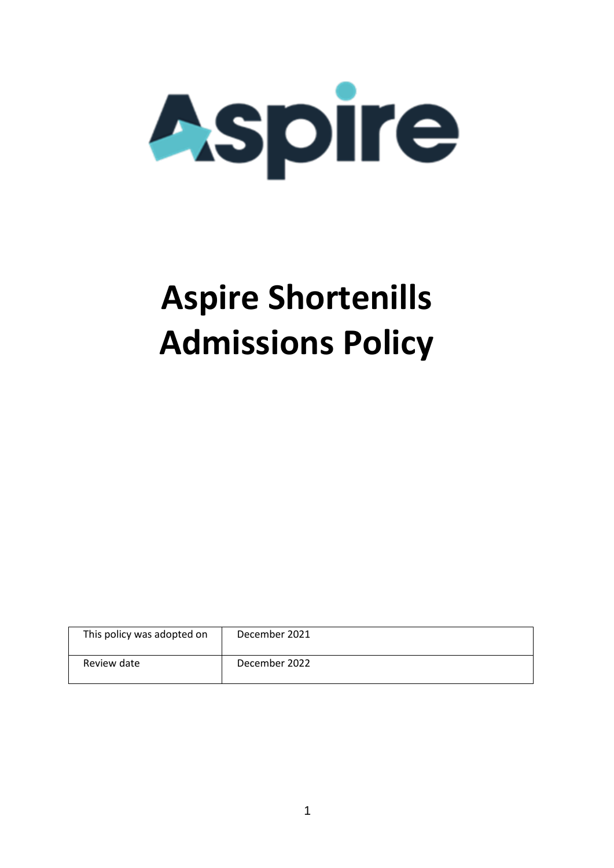

# **Aspire Shortenills Admissions Policy**

| This policy was adopted on | December 2021 |
|----------------------------|---------------|
| Review date                | December 2022 |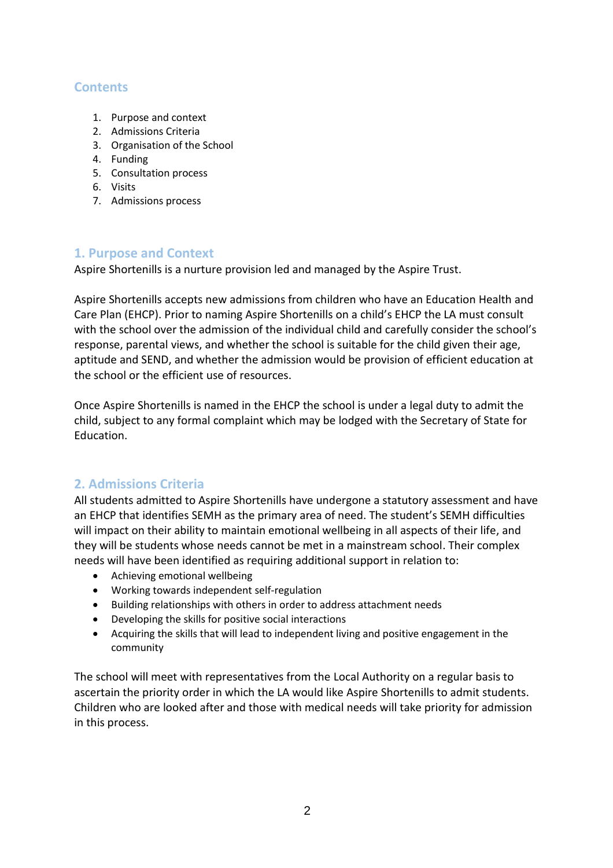# **Contents**

- 1. Purpose and context
- 2. Admissions Criteria
- 3. Organisation of the School
- 4. Funding
- 5. Consultation process
- 6. Visits
- 7. Admissions process

# **1. Purpose and Context**

Aspire Shortenills is a nurture provision led and managed by the Aspire Trust.

Aspire Shortenills accepts new admissions from children who have an Education Health and Care Plan (EHCP). Prior to naming Aspire Shortenills on a child's EHCP the LA must consult with the school over the admission of the individual child and carefully consider the school's response, parental views, and whether the school is suitable for the child given their age, aptitude and SEND, and whether the admission would be provision of efficient education at the school or the efficient use of resources.

Once Aspire Shortenills is named in the EHCP the school is under a legal duty to admit the child, subject to any formal complaint which may be lodged with the Secretary of State for Education.

# **2. Admissions Criteria**

All students admitted to Aspire Shortenills have undergone a statutory assessment and have an EHCP that identifies SEMH as the primary area of need. The student's SEMH difficulties will impact on their ability to maintain emotional wellbeing in all aspects of their life, and they will be students whose needs cannot be met in a mainstream school. Their complex needs will have been identified as requiring additional support in relation to:

- Achieving emotional wellbeing
- Working towards independent self-regulation
- Building relationships with others in order to address attachment needs
- Developing the skills for positive social interactions
- Acquiring the skills that will lead to independent living and positive engagement in the community

The school will meet with representatives from the Local Authority on a regular basis to ascertain the priority order in which the LA would like Aspire Shortenills to admit students. Children who are looked after and those with medical needs will take priority for admission in this process.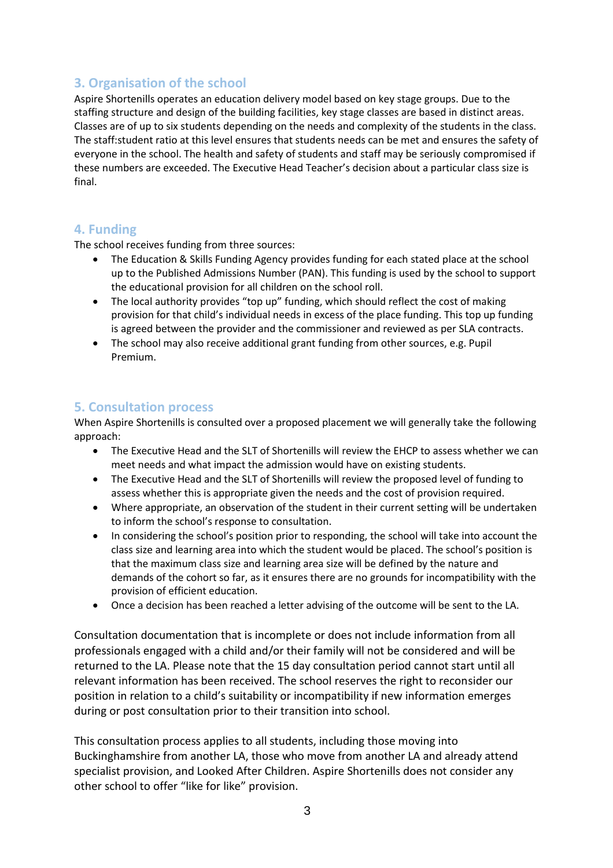# **3. Organisation of the school**

Aspire Shortenills operates an education delivery model based on key stage groups. Due to the staffing structure and design of the building facilities, key stage classes are based in distinct areas. Classes are of up to six students depending on the needs and complexity of the students in the class. The staff:student ratio at this level ensures that students needs can be met and ensures the safety of everyone in the school. The health and safety of students and staff may be seriously compromised if these numbers are exceeded. The Executive Head Teacher's decision about a particular class size is final.

## **4. Funding**

The school receives funding from three sources:

- The Education & Skills Funding Agency provides funding for each stated place at the school up to the Published Admissions Number (PAN). This funding is used by the school to support the educational provision for all children on the school roll.
- The local authority provides "top up" funding, which should reflect the cost of making provision for that child's individual needs in excess of the place funding. This top up funding is agreed between the provider and the commissioner and reviewed as per SLA contracts.
- The school may also receive additional grant funding from other sources, e.g. Pupil Premium.

#### **5. Consultation process**

When Aspire Shortenills is consulted over a proposed placement we will generally take the following approach:

- The Executive Head and the SLT of Shortenills will review the EHCP to assess whether we can meet needs and what impact the admission would have on existing students.
- The Executive Head and the SLT of Shortenills will review the proposed level of funding to assess whether this is appropriate given the needs and the cost of provision required.
- Where appropriate, an observation of the student in their current setting will be undertaken to inform the school's response to consultation.
- In considering the school's position prior to responding, the school will take into account the class size and learning area into which the student would be placed. The school's position is that the maximum class size and learning area size will be defined by the nature and demands of the cohort so far, as it ensures there are no grounds for incompatibility with the provision of efficient education.
- Once a decision has been reached a letter advising of the outcome will be sent to the LA.

Consultation documentation that is incomplete or does not include information from all professionals engaged with a child and/or their family will not be considered and will be returned to the LA. Please note that the 15 day consultation period cannot start until all relevant information has been received. The school reserves the right to reconsider our position in relation to a child's suitability or incompatibility if new information emerges during or post consultation prior to their transition into school.

This consultation process applies to all students, including those moving into Buckinghamshire from another LA, those who move from another LA and already attend specialist provision, and Looked After Children. Aspire Shortenills does not consider any other school to offer "like for like" provision.